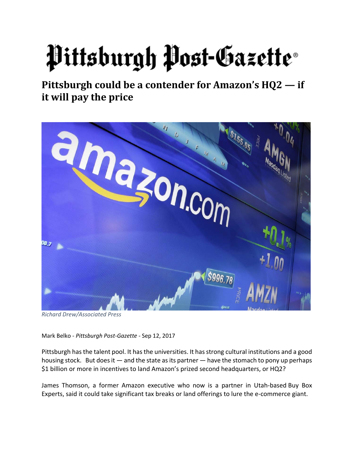## Pittsburgh Post-Gazette®

**Pittsburgh could be a contender for Amazon's HQ2 — if it will pay the price** 



*Richard Drew/Associated Press*

Mark Belko ‐ *Pittsburgh Post‐Gazette* ‐ Sep 12, 2017

Pittsburgh has the talent pool. It has the universities. It has strong cultural institutions and a good housing stock. But does it  $-$  and the state as its partner  $-$  have the stomach to pony up perhaps \$1 billion or more in incentives to land Amazon's prized second headquarters, or HQ2?

James Thomson, a former Amazon executive who now is a partner in Utah‐based Buy Box Experts, said it could take significant tax breaks or land offerings to lure the e‐commerce giant.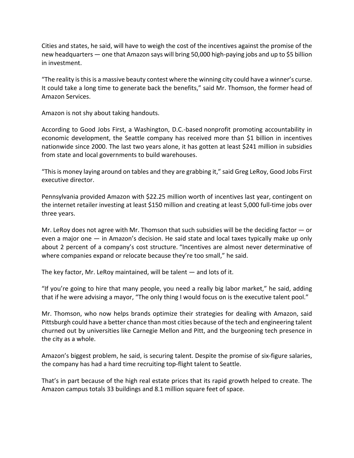Cities and states, he said, will have to weigh the cost of the incentives against the promise of the new headquarters — one that Amazon says will bring 50,000 high-paying jobs and up to \$5 billion in investment.

"The reality isthisis a massive beauty contest where the winning city could have a winner's curse. It could take a long time to generate back the benefits," said Mr. Thomson, the former head of Amazon Services.

Amazon is not shy about taking handouts.

According to Good Jobs First, a Washington, D.C.‐based nonprofit promoting accountability in economic development, the Seattle company has received more than \$1 billion in incentives nationwide since 2000. The last two years alone, it has gotten at least \$241 million in subsidies from state and local governments to build warehouses.

"Thisis money laying around on tables and they are grabbing it," said Greg LeRoy, Good Jobs First executive director.

Pennsylvania provided Amazon with \$22.25 million worth of incentives last year, contingent on the internet retailer investing at least \$150 million and creating at least 5,000 full-time jobs over three years.

Mr. LeRoy does not agree with Mr. Thomson that such subsidies will be the deciding factor  $-$  or even a major one — in Amazon's decision. He said state and local taxes typically make up only about 2 percent of a company's cost structure. "Incentives are almost never determinative of where companies expand or relocate because they're too small," he said.

The key factor, Mr. LeRoy maintained, will be talent — and lots of it.

"If you're going to hire that many people, you need a really big labor market," he said, adding that if he were advising a mayor, "The only thing I would focus on is the executive talent pool."

Mr. Thomson, who now helps brands optimize their strategies for dealing with Amazon, said Pittsburgh could have a better chance than most cities because of the tech and engineering talent churned out by universities like Carnegie Mellon and Pitt, and the burgeoning tech presence in the city as a whole.

Amazon's biggest problem, he said, is securing talent. Despite the promise of six‐figure salaries, the company has had a hard time recruiting top‐flight talent to Seattle.

That's in part because of the high real estate prices that its rapid growth helped to create. The Amazon campus totals 33 buildings and 8.1 million square feet of space.